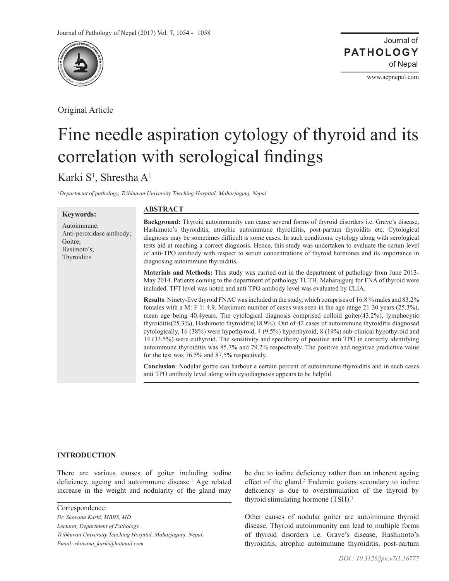

Original Article

www.acpnepal.com

# Fine needle aspiration cytology of thyroid and its correlation with serological findings

# Karki S<sup>1</sup>, Shrestha A<sup>1</sup>

Anti-peroxidase antibody;

*1 Department of pathology, Tribhuvan University Teaching Hospital, Maharjagunj, Nepal*

# **Keywords:** Autoimmune;

Goitre; Hasimoto's; Thyroiditis

#### **ABSTRACT**

**Background:** Thyroid autoimmunity can cause several forms of thyroid disorders i.e. Grave's disease, Hashimoto's thyroiditis, atrophic autoimmune thyroiditis, post-partum thyroidits etc. Cytological diagnosis may be sometimes difficult is some cases. In such conditions, cytology along with serological tests aid at reaching a correct diagnosis. Hence, this study was undertaken to evaluate the serum level of anti-TPO antibody with respect to serum concentrations of thyroid hormones and its importance in diagnosing autoimmune thyroiditis.

**Materials and Methods:** This study was carried out in the department of pathology from June 2013- May 2014. Patients coming to the department of pathology TUTH, Maharajgunj for FNA of thyroid were included. TFT level was noted and anti TPO antibody level was evaluated by CLIA.

**Results**: Ninety-five thyroid FNAC was included in the study, which comprises of 16.8 % males and 83.2% females with a M: F 1: 4.9. Maximum number of cases was seen in the age range 21-30 years (25.3%), mean age being 40.4years. The cytological diagnosis comprised colloid goiter(43.2%), lymphocytic thyroiditis(25.3%), Hashimoto thyroiditis(18.9%). Out of 42 cases of autoimmune thyroiditis diagnosed cytologically, 16 (38%) were hypothyroid, 4 (9.5%) hyperthyroid, 8 (19%) sub-clinical hypothyroid and 14 (33.5%) were euthyroid. The sensitivity and specificity of positive anti TPO in correctly identifying autoimmune thyroiditis was 85.7% and 79.2% respectively. The positive and negative predictive value for the test was 76.5% and 87.5% respectively.

**Conclusion**: Nodular goitre can harbour a certain percent of autoimmune thyroiditis and in such cases anti TPO antibody level along with cytodiagnosis appears to be helpful.

#### **INTRODUCTION**

There are various causes of goiter including iodine deficiency, ageing and autoimmune disease.<sup>1</sup> Age related increase in the weight and nodularity of the gland may

Correspondence:

*Dr. Shovana Karki, MBBS, MD Lecturer, Department of Pathology Tribhuvan University Teaching Hospital, Maharjagunj, Nepal. Email: shovana\_karki@hotmail.com*

be due to iodine deficiency rather than an inherent ageing effect of the gland.<sup>2</sup> Endemic goiters secondary to iodine deficiency is due to overstimulation of the thyroid by thyroid stimulating hormone (TSH).<sup>3</sup>

Other causes of nodular goiter are autoimmune thyroid disease. Thyroid autoimmunity can lead to multiple forms of thyroid disorders i.e. Grave's disease, Hashimoto's thyroiditis, atrophic autoimmune thyroiditis, post-partum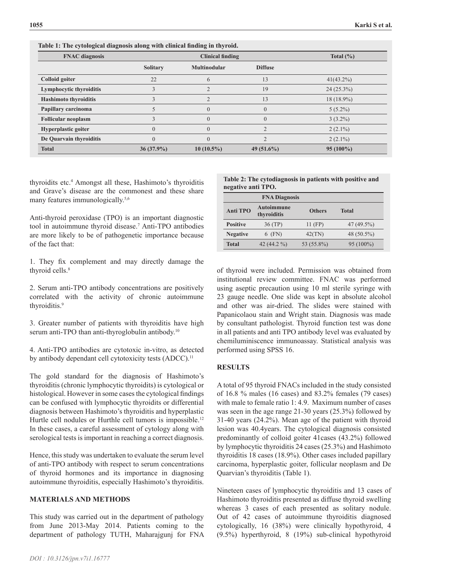| <b>FNAC</b> diagnosis        | <b>Clinical finding</b> |                     |                | Total $(\% )$ |
|------------------------------|-------------------------|---------------------|----------------|---------------|
|                              | <b>Solitary</b>         | <b>Multinodular</b> | <b>Diffuse</b> |               |
| Colloid goiter               | 22                      | 6                   | 13             | $41(43.2\%)$  |
| Lymphocytic thyroiditis      |                         |                     | 19             | $24(25.3\%)$  |
| <b>Hashimoto thyroiditis</b> |                         |                     | 13             | 18 (18.9%)    |
| Papillary carcinoma          |                         | $\theta$            | $\theta$       | $5(5.2\%)$    |
| <b>Follicular neoplasm</b>   |                         | $\theta$            | $\overline{0}$ | $3(3.2\%)$    |
| Hyperplastic goiter          |                         | $\theta$            | $\overline{2}$ | $2(2.1\%)$    |
| De Quarvain thyroiditis      |                         | $\Omega$            |                | $2(2.1\%)$    |
| <b>Total</b>                 | $36(37.9\%)$            | $10(10.5\%)$        | 49 $(51.6\%)$  | $95(100\%)$   |

**Table 1: The cytological diagnosis along with clinical finding in thyroid.** 

thyroidits etc.4 Amongst all these, Hashimoto's thyroiditis and Grave's disease are the commonest and these share many features immunologically.<sup>5,6</sup>

Anti-thyroid peroxidase (TPO) is an important diagnostic tool in autoimmune thyroid disease.7 Anti-TPO antibodies are more likely to be of pathogenetic importance because of the fact that:

1. They fix complement and may directly damage the thyroid cells.<sup>8</sup>

2. Serum anti-TPO antibody concentrations are positively correlated with the activity of chronic autoimmune thyroiditis.<sup>9</sup>

3. Greater number of patients with thyroiditis have high serum anti-TPO than anti-thyroglobulin antibody.<sup>10</sup>

4. Anti-TPO antibodies are cytotoxic in-vitro, as detected by antibody dependant cell cytotoxicity tests (ADCC).<sup>11</sup>

The gold standard for the diagnosis of Hashimoto's thyroiditis (chronic lymphocytic thyroidits) is cytological or histological. However in some cases the cytological findings can be confused with lymphocytic thyroidits or differential diagnosis between Hashimoto's thyroiditis and hyperplastic Hurtle cell nodules or Hurthle cell tumors is impossible.<sup>12</sup> In these cases, a careful assessment of cytology along with serological tests is important in reaching a correct diagnosis.

Hence, this study was undertaken to evaluate the serum level of anti-TPO antibody with respect to serum concentrations of thyroid hormones and its importance in diagnosing autoimmune thyroiditis, especially Hashimoto's thyroiditis.

#### **MATERIALS AND METHODS**

This study was carried out in the department of pathology from June 2013-May 2014. Patients coming to the department of pathology TUTH, Maharajgunj for FNA **Table 2: The cytodiagnosis in patients with positive and negative anti TPO.**

|                 | <b>FNA Diagnosis</b>             |               |              |
|-----------------|----------------------------------|---------------|--------------|
| <b>Anti TPO</b> | <b>Autoimmune</b><br>thyroiditis | <b>Others</b> | <b>Total</b> |
| <b>Positive</b> | 36(TP)                           | 11 (FP)       | $47(49.5\%)$ |
| <b>Negative</b> | 6 (FN)                           | 42(TN)        | 48 (50.5%)   |
| <b>Total</b>    | 42 $(44.2\%$                     | 53 (55.8%)    | $95(100\%)$  |

of thyroid were included. Permission was obtained from institutional review committee. FNAC was performed using aseptic precaution using 10 ml sterile syringe with 23 gauge needle. One slide was kept in absolute alcohol and other was air-dried. The slides were stained with Papanicolaou stain and Wright stain. Diagnosis was made by consultant pathologist. Thyroid function test was done in all patients and anti TPO antibody level was evaluated by chemiluminiscence immunoassay. Statistical analysis was performed using SPSS 16.

## **RESULTS**

A total of 95 thyroid FNACs included in the study consisted of 16.8 % males (16 cases) and 83.2% females (79 cases) with male to female ratio 1: 4.9. Maximum number of cases was seen in the age range 21-30 years (25.3%) followed by 31-40 years (24.2%). Mean age of the patient with thyroid lesion was 40.4years. The cytological diagnosis consisted predominantly of colloid goiter 41cases (43.2%) followed by lymphocytic thyroiditis 24 cases (25.3%) and Hashimoto thyroiditis 18 cases (18.9%). Other cases included papillary carcinoma, hyperplastic goiter, follicular neoplasm and De Quarvian's thyroiditis (Table 1).

Nineteen cases of lymphocytic thyroiditis and 13 cases of Hashimoto thyroiditis presented as diffuse thyroid swelling whereas 3 cases of each presented as solitary nodule. Out of 42 cases of autoimmune thyroiditis diagnosed cytologically, 16 (38%) were clinically hypothyroid, 4 (9.5%) hyperthyroid, 8 (19%) sub-clinical hypothyroid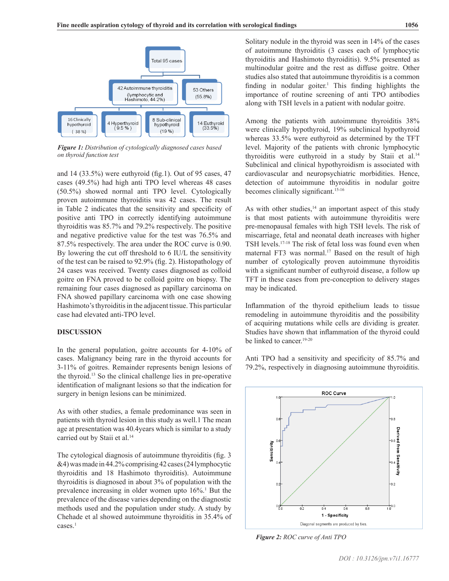

*Figure 1: Distribution of cytologically diagnosed cases based on thyroid function test*

and 14 (33.5%) were euthyroid (fig.1). Out of 95 cases, 47 cases (49.5%) had high anti TPO level whereas 48 cases (50.5%) showed normal anti TPO level. Cytologically proven autoimmune thyroiditis was 42 cases. The result in Table 2 indicates that the sensitivity and specificity of positive anti TPO in correctly identifying autoimmune thyroiditis was 85.7% and 79.2% respectively. The positive and negative predictive value for the test was 76.5% and 87.5% respectively. The area under the ROC curve is 0.90. By lowering the cut off threshold to 6 IU/L the sensitivity of the test can be raised to 92.9% (fig. 2). Histopathology of 24 cases was received. Twenty cases diagnosed as colloid goitre on FNA proved to be colloid goitre on biopsy. The remaining four cases diagnosed as papillary carcinoma on FNA showed papillary carcinoma with one case showing Hashimoto's thyroiditis in the adjacent tissue. This particular case had elevated anti-TPO level.

#### **DISCUSSION**

In the general population, goitre accounts for 4-10% of cases. Malignancy being rare in the thyroid accounts for 3-11% of goitres. Remainder represents benign lesions of the thyroid.13 So the clinical challenge lies in pre-operative identification of malignant lesions so that the indication for surgery in benign lesions can be minimized.

As with other studies, a female predominance was seen in patients with thyroid lesion in this study as well.1 The mean age at presentation was 40.4years which is similar to a study carried out by Staii et al.<sup>14</sup>

The cytological diagnosis of autoimmune thyroiditis (fig. 3 &4) was made in 44.2% comprising 42 cases (24 lymphocytic thyroiditis and 18 Hashimoto thyroiditis). Autoimmune thyroiditis is diagnosed in about 3% of population with the prevalence increasing in older women upto 16%.<sup>1</sup> But the prevalence of the disease varies depending on the diagnostic methods used and the population under study. A study by Chehade et al showed autoimmune thyroiditis in 35.4% of cases.<sup>1</sup>

Solitary nodule in the thyroid was seen in 14% of the cases of autoimmune thyroiditis (3 cases each of lymphocytic thyroiditis and Hashimoto thyroiditis). 9.5% presented as multinodular goitre and the rest as diffuse goitre. Other studies also stated that autoimmune thyroiditis is a common finding in nodular goiter.<sup>1</sup> This finding highlights the importance of routine screening of anti TPO antibodies along with TSH levels in a patient with nodular goitre.

Among the patients with autoimmune thyroiditis 38% were clinically hypothyroid, 19% subclinical hypothyroid whereas 33.5% were euthyroid as determined by the TFT level. Majority of the patients with chronic lymphocytic thyroiditis were euthyroid in a study by Staii et al.<sup>14</sup> Subclinical and clinical hypothyroidism is associated with cardiovascular and neuropsychiatric morbidities. Hence, detection of autoimmune thyroiditis in nodular goitre becomes clinically significant.<sup>15-16</sup>

As with other studies, $14$  an important aspect of this study is that most patients with autoimmune thyroiditis were pre-menopausal females with high TSH levels. The risk of miscarriage, fetal and neonatal death increases with higher TSH levels.17-18 The risk of fetal loss was found even when maternal FT3 was normal.<sup>17</sup> Based on the result of high number of cytologically proven autoimmune thyroiditis with a significant number of euthyroid disease, a follow up TFT in these cases from pre-conception to delivery stages may be indicated.

Inflammation of the thyroid epithelium leads to tissue remodeling in autoimmune thyroiditis and the possibility of acquiring mutations while cells are dividing is greater. Studies have shown that inflammation of the thyroid could be linked to cancer.<sup>19-20</sup>

Anti TPO had a sensitivity and specificity of 85.7% and 79.2%, respectively in diagnosing autoimmune thyroiditis.



*Figure 2: ROC curve of Anti TPO*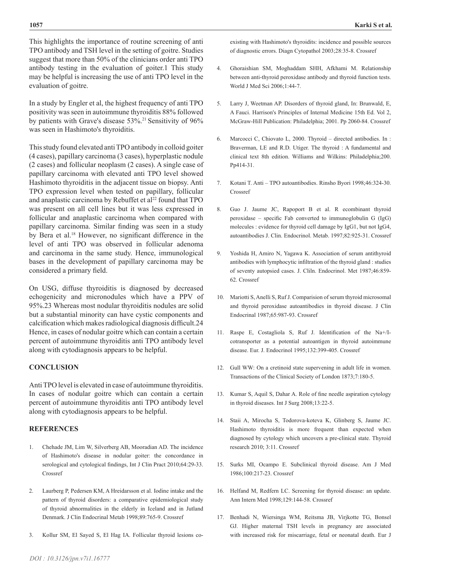This highlights the importance of routine screening of anti TPO antibody and TSH level in the setting of goitre. Studies suggest that more than 50% of the clinicians order anti TPO antibody testing in the evaluation of goiter.1 This study may be helpful is increasing the use of anti TPO level in the evaluation of goitre.

In a study by Engler et al, the highest frequency of anti TPO positivity was seen in autoimmune thyroiditis 88% followed by patients with Grave's disease 53%.<sup>21</sup> Sensitivity of 96% was seen in Hashimoto's thyroiditis.

This study found elevated anti TPO antibody in colloid goiter (4 cases), papillary carcinoma (3 cases), hyperplastic nodule (2 cases) and follicular neoplasm (2 cases). A single case of papillary carcinoma with elevated anti TPO level showed Hashimoto thyroiditis in the adjacent tissue on biopsy. Anti TPO expression level when tested on papillary, follicular and anaplastic carcinoma by Rebuffet et al<sup>22</sup> found that TPO was present on all cell lines but it was less expressed in follicular and anaplastic carcinoma when compared with papillary carcinoma. Similar finding was seen in a study by Bera et al.18 However, no significant difference in the level of anti TPO was observed in follicular adenoma and carcinoma in the same study. Hence, immunological bases in the development of papillary carcinoma may be considered a primary field.

On USG, diffuse thyroiditis is diagnosed by decreased echogenicity and micronodules which have a PPV of 95%.23 Whereas most nodular thyroiditis nodules are solid but a substantial minority can have cystic components and calcification which makes radiological diagnosis difficult.24 Hence, in cases of nodular goitre which can contain a certain percent of autoimmune thyroiditis anti TPO antibody level along with cytodiagnosis appears to be helpful.

## **CONCLUSION**

Anti TPO level is elevated in case of autoimmune thyroiditis. In cases of nodular goitre which can contain a certain percent of autoimmune thyroiditis anti TPO antibody level along with cytodiagnosis appears to be helpful.

#### **REFERENCES**

- 1. Chehade JM, Lim W, Silverberg AB, Mooradian AD. The incidence of Hashimoto's disease in nodular goiter: the concordance in serological and cytological findings, Int J Clin Pract 2010;64:29-33. [Crossref](https://doi.org/10.1111/j.1742-1241.2008.01942.x)
- 2. Laurberg P, Pedersen KM, A Hreidarsson et al. Iodine intake and the pattern of thyroid disorders: a comparative epidemiological study of thyroid abnormalities in the elderly in Iceland and in Jutland Denmark. J Clin Endocrinal Metab 1998;89:765-9. [Crossref](https://doi.org/10.1210/jcem.83.3.4624)
- 3. Kollur SM, El Sayed S, El Hag IA. Follicular thyroid lesions co-

existing with Hashimoto's thyroidits: incidence and possible sources of diagnostic errors. Diagn Cytopathol 2003;28:35-8. [Crossref](https://doi.org/10.1002/dc.10206)

- 4. Ghoraishian SM, Moghaddam SHH, Afkhami M. Relationship between anti-thyroid peroxidase antibody and thyroid function tests. World J Med Sci 2006;1:44-7.
- 5. Larry J, Weetman AP. Disorders of thyroid gland, In: Brunwald, E, A Fauci. Harrison's Principles of Internal Medicine 15th Ed. Vol 2, McGraw-Hill Publication: Philadelphia; 2001. Pp 2060-84. [Crossref](PMid:11195834)
- 6. Marcocci C, Chiovato L, 2000. Thyroid directed antibodies. In : Braverman, LE and R.D. Utiger. The thyroid : A fundamental and clinical text 8th edition. Williams and Wilkins: Philadelphia;200. Pp414-31.
- 7. Kotani T. Anti TPO autoantibodies. Rinsho Byori 1998;46:324-30. [Crossref](PMid:9594622)
- 8. Guo J. Jaume JC, Rapoport B et al. R ecombinant thyroid peroxidase – specific Fab converted to immunoglobulin G (IgG) molecules : evidence for thyroid cell damage by IgG1, but not IgG4, autoantibodies J. Clin. Endocrinol. Metab. 1997;82:925-31. [Crossref](https://doi.org/10.1210/jc.82.3.925)
- 9. Yoshida H, Amiro N, Yagawa K. Association of serum antithyroid antibodies with lymphocytic infiltration of the thyroid gland : studies of seventy autopsied cases. J. Cliln. Endocrinol. Met 1987;46:859- 62. [Crossref](https://doi.org/10.1210/jcem-46-6-859)
- 10. Mariotti S, Anelli S, Ruf J. Comparision of serum thyroid microsomal and thyroid peroxidase autoantibodies in thyroid disease. J Clin Endocrinal 1987;65:987-93. [Crossref](https://doi.org/10.1210/jcem-65-5-987)
- 11. Raspe E, Costagliola S, Ruf J. Identification of the Na+/Icotransporter as a potential autoantigen in thyroid autoimmune disease. Eur. J. Endocrinol 1995;132:399-405. [Crossref](https://doi.org/10.1530/eje.0.1320399)
- 12. Gull WW: On a cretinoid state supervening in adult life in women. Transactions of the Clinical Society of London 1873;7:180-5.
- 13. Kumar S, Aquil S, Dahar A. Role of fine needle aspiration cytology in thyroid diseases. Int J Surg 2008;13:22-5.
- 14. Staii A, Mirocha S, Todorova-koteva K, Glinberg S, Jaume JC. Hashimoto thyroiditis is more frequent than expected when diagnosed by cytology which uncovers a pre-clinical state. Thyroid research 2010; 3:11. [Crossref](https://doi.org/10.1186/1756-6614-3-11)
- 15. Surks MI, Ocampo E. Subclinical thyroid disease. Am J Med 1986;100:217-23. [Crossref](https://doi.org/10.1016/S0002-9343(97)89462-4)
- 16. Helfand M, Redfern LC. Screening for thyroid disease: an update. Ann Intern Med 1998;129:144-58. [Crossref](https://doi.org/10.7326/0003-4819-129-2-199807150-00020)
- 17. Benhadi N, Wiersinga WM, Reitsma JB, Virjkotte TG, Bonsel GJ. Higher maternal TSH levels in pregnancy are associated with increased risk for miscarriage, fetal or neonatal death. Eur J